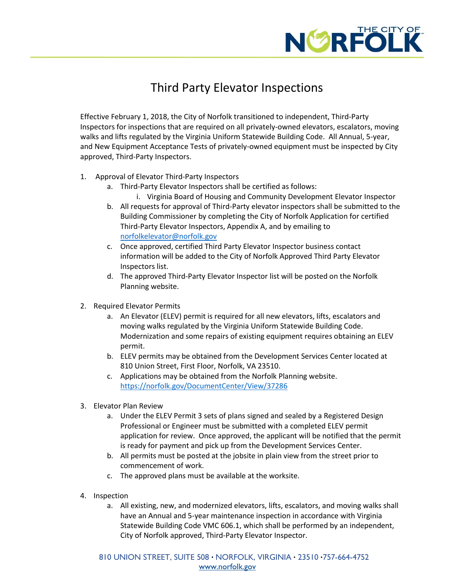

## Third Party Elevator Inspections

Effective February 1, 2018, the City of Norfolk transitioned to independent, Third-Party Inspectors for inspections that are required on all privately-owned elevators, escalators, moving walks and lifts regulated by the Virginia Uniform Statewide Building Code. All Annual, 5-year, and New Equipment Acceptance Tests of privately-owned equipment must be inspected by City approved, Third-Party Inspectors.

- 1. Approval of Elevator Third-Party Inspectors
	- a. Third-Party Elevator Inspectors shall be certified as follows:
		- i. Virginia Board of Housing and Community Development Elevator Inspector
	- b. All requests for approval of Third-Party elevator inspectors shall be submitted to the Building Commissioner by completing the City of Norfolk Application for certified Third-Party Elevator Inspectors, Appendix A, and by emailing to [norfolkelevator@norfolk.gov](mailto:norfolkelevator@norfolk.gov)
	- c. Once approved, certified Third Party Elevator Inspector business contact information will be added to the City of Norfolk Approved Third Party Elevator Inspectors list.
	- d. The approved Third-Party Elevator Inspector list will be posted on the Norfolk Planning website.
- 2. Required Elevator Permits
	- a. An Elevator (ELEV) permit is required for all new elevators, lifts, escalators and moving walks regulated by the Virginia Uniform Statewide Building Code. Modernization and some repairs of existing equipment requires obtaining an ELEV permit.
	- b. ELEV permits may be obtained from the Development Services Center located at 810 Union Street, First Floor, Norfolk, VA 23510.
	- c. Applications may be obtained from the Norfolk Planning website. <https://norfolk.gov/DocumentCenter/View/37286>
- 3. Elevator Plan Review
	- a. Under the ELEV Permit 3 sets of plans signed and sealed by a Registered Design Professional or Engineer must be submitted with a completed ELEV permit application for review. Once approved, the applicant will be notified that the permit is ready for payment and pick up from the Development Services Center.
	- b. All permits must be posted at the jobsite in plain view from the street prior to commencement of work.
	- c. The approved plans must be available at the worksite.
- 4. Inspection
	- a. All existing, new, and modernized elevators, lifts, escalators, and moving walks shall have an Annual and 5-year maintenance inspection in accordance with Virginia Statewide Building Code VMC 606.1, which shall be performed by an independent, City of Norfolk approved, Third-Party Elevator Inspector.